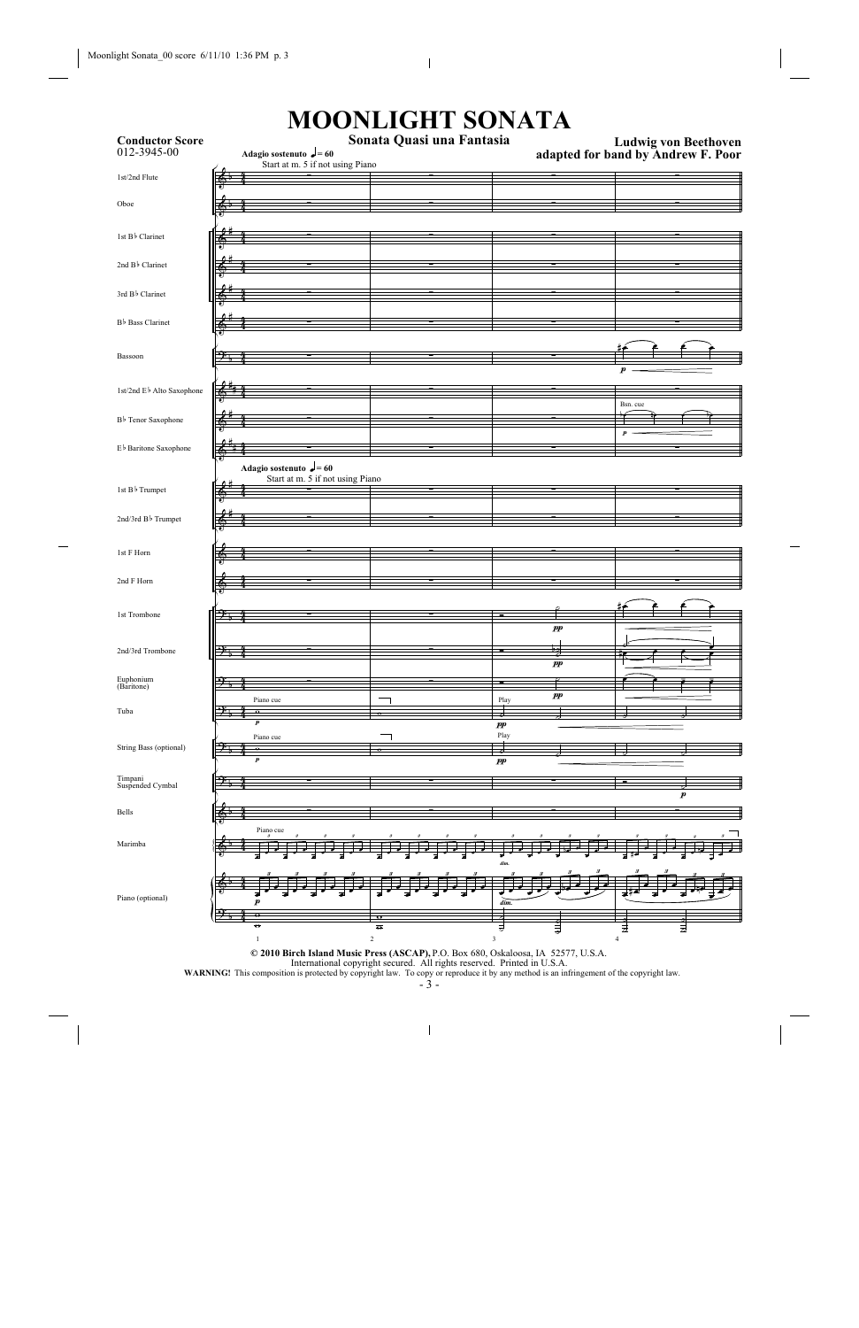## **MOONLIGHT SONATA**

| Sonata Quasi una Fantasia |  |  |
|---------------------------|--|--|
|                           |  |  |

| <b>Conductor Score</b><br>012-3945-00           |                       | Adagio sostenuto $\rightarrow = 60$                                                                              | Sonata Quasi una Fantasia                              | <b>Ludwig von Beethoven</b><br>adapted for band by Andrew F. Poor |                  |
|-------------------------------------------------|-----------------------|------------------------------------------------------------------------------------------------------------------|--------------------------------------------------------|-------------------------------------------------------------------|------------------|
| 1st/2nd Flute                                   |                       | Start at m. 5 if not using Piano                                                                                 |                                                        |                                                                   |                  |
| Oboe                                            |                       |                                                                                                                  |                                                        |                                                                   |                  |
| 1st B <sub>b</sub> Clarinet                     |                       |                                                                                                                  |                                                        |                                                                   |                  |
| 2nd B <sub>b</sub> Clarinet                     |                       |                                                                                                                  |                                                        |                                                                   |                  |
| $3\mathrm{rd}\ \mathsf{B}^{\,\flat}$ Clarinet   |                       |                                                                                                                  |                                                        |                                                                   |                  |
| $\rm B\,b$ Bass Clarinet                        |                       |                                                                                                                  |                                                        |                                                                   |                  |
| Bassoon                                         |                       |                                                                                                                  |                                                        |                                                                   |                  |
| $1\mathrm{st}/2\mathrm{nd}\to b$ Alto Saxophone |                       |                                                                                                                  |                                                        |                                                                   | $\boldsymbol{p}$ |
| B <sub>b</sub> Tenor Saxophone                  |                       |                                                                                                                  |                                                        |                                                                   | Bsn. cue         |
| $\to$ Baritone Saxophone                        |                       |                                                                                                                  |                                                        |                                                                   | $\boldsymbol{p}$ |
| $1$ st B $\flat$ Trumpet                        |                       | Adagio sostenuto $\rightarrow = 60$<br>Start at m. 5 if not using Piano                                          |                                                        |                                                                   |                  |
| 2nd/3rd B $\frac{1}{2}$ Trumpet                 |                       |                                                                                                                  |                                                        |                                                                   |                  |
| 1st F Horn                                      |                       |                                                                                                                  |                                                        |                                                                   |                  |
| 2nd F Horn                                      |                       |                                                                                                                  |                                                        |                                                                   |                  |
| 1st Trombone                                    | $\Theta^{\mathbf{.}}$ |                                                                                                                  |                                                        |                                                                   |                  |
| 2nd/3rd Trombone                                | ₹                     |                                                                                                                  |                                                        | $\boldsymbol{pp}$<br>bg<br>Ξ                                      |                  |
| Euphonium<br>(Baritone)                         | <u>. • ):</u>         |                                                                                                                  |                                                        | $\boldsymbol{pp}$<br>-                                            |                  |
| Tuba                                            |                       | Piano cue<br>Ð<br>$\boldsymbol{p}$                                                                               | $\overline{\mathbf{o}}$                                | $\boldsymbol{pp}$<br>Play                                         |                  |
| String Bass (optional)                          |                       | Piano cue<br>$\pmb{p}$                                                                                           |                                                        | $\boldsymbol{p}$<br>Play<br>$\boldsymbol{pp}$                     |                  |
| Timpani<br>Suspended Cymbal                     |                       |                                                                                                                  |                                                        |                                                                   |                  |
| Bells                                           |                       |                                                                                                                  |                                                        |                                                                   | $\boldsymbol{p}$ |
| Marimba                                         |                       | Piano cue                                                                                                        |                                                        |                                                                   |                  |
| Piano (optional)                                |                       | $\boldsymbol{p}$                                                                                                 |                                                        | dim.                                                              |                  |
|                                                 | Ð                     | ۰<br>$\sigma$<br>-1<br>$\odot$ 2010 Dirch Island Music Dross (ASCAD) D.O. Dov. 620, Oskaloges, IA, 52577 II.S. A | $\mathbf{o}$<br>$\overline{\bullet}$<br>$\overline{c}$ | बेनाके<br>ヺ<br>$\overline{\mathbf{3}}$                            | 긓<br>긓<br>4      |

© 2010 Birch Island Music Press (ASCAP), P.O. Box 680, Oskaloosa, IA 52577, U.S.A. International copyright secured. All rights reserved. Printed in U.S.A. **WARNING!** This composition is protected by copyright law. To copy or reproduce it by any method is an infringement of the copyright law. **© 2010 Birch Island Music Press (ASCAP),**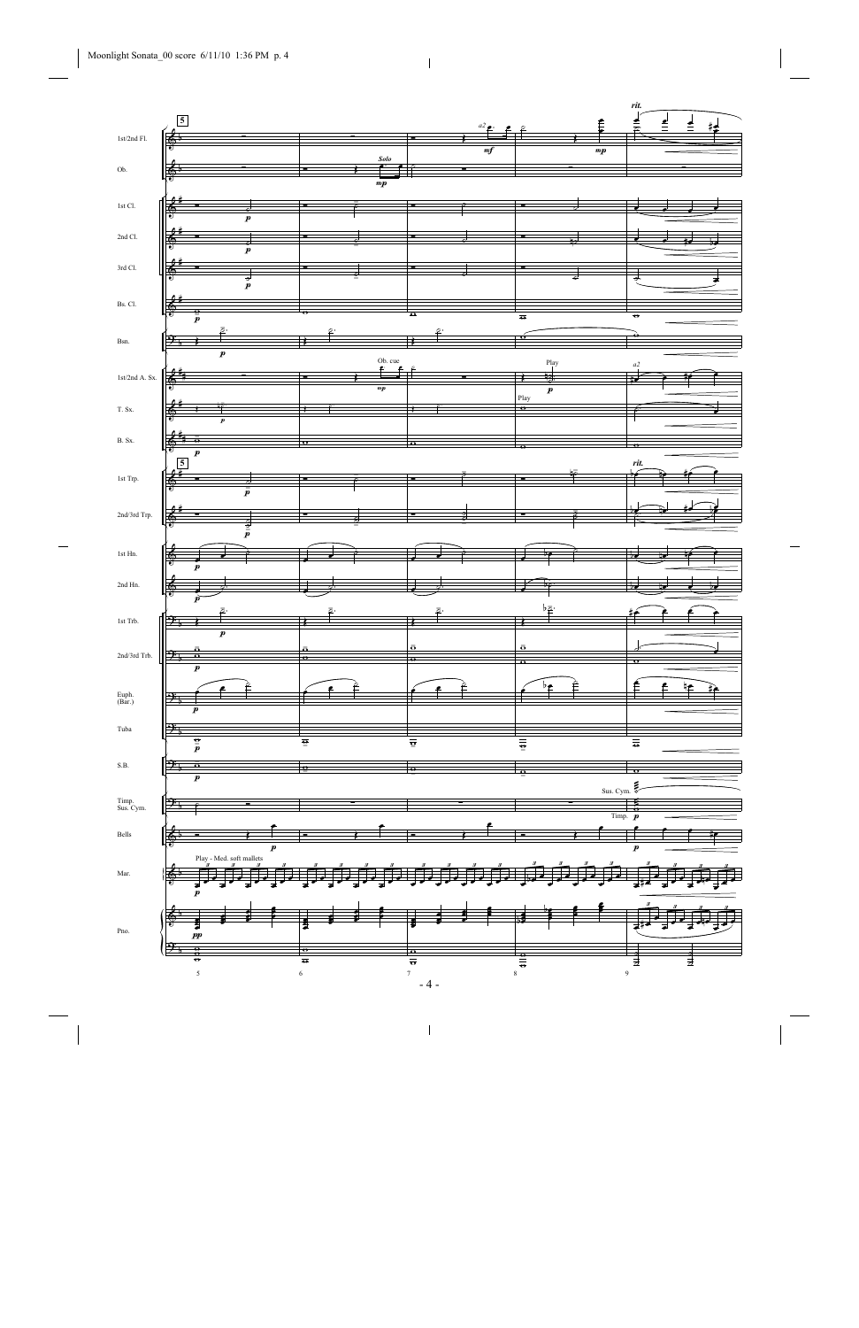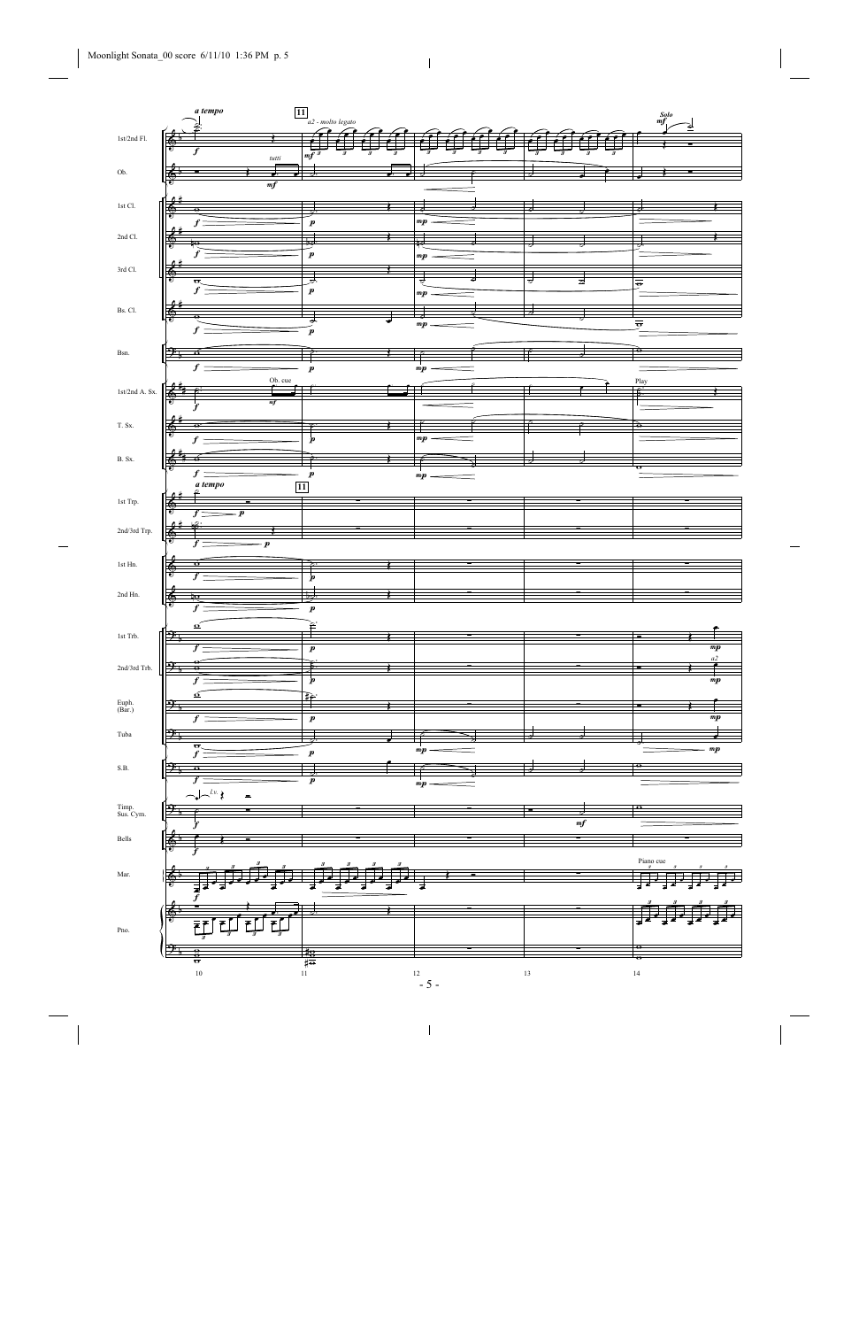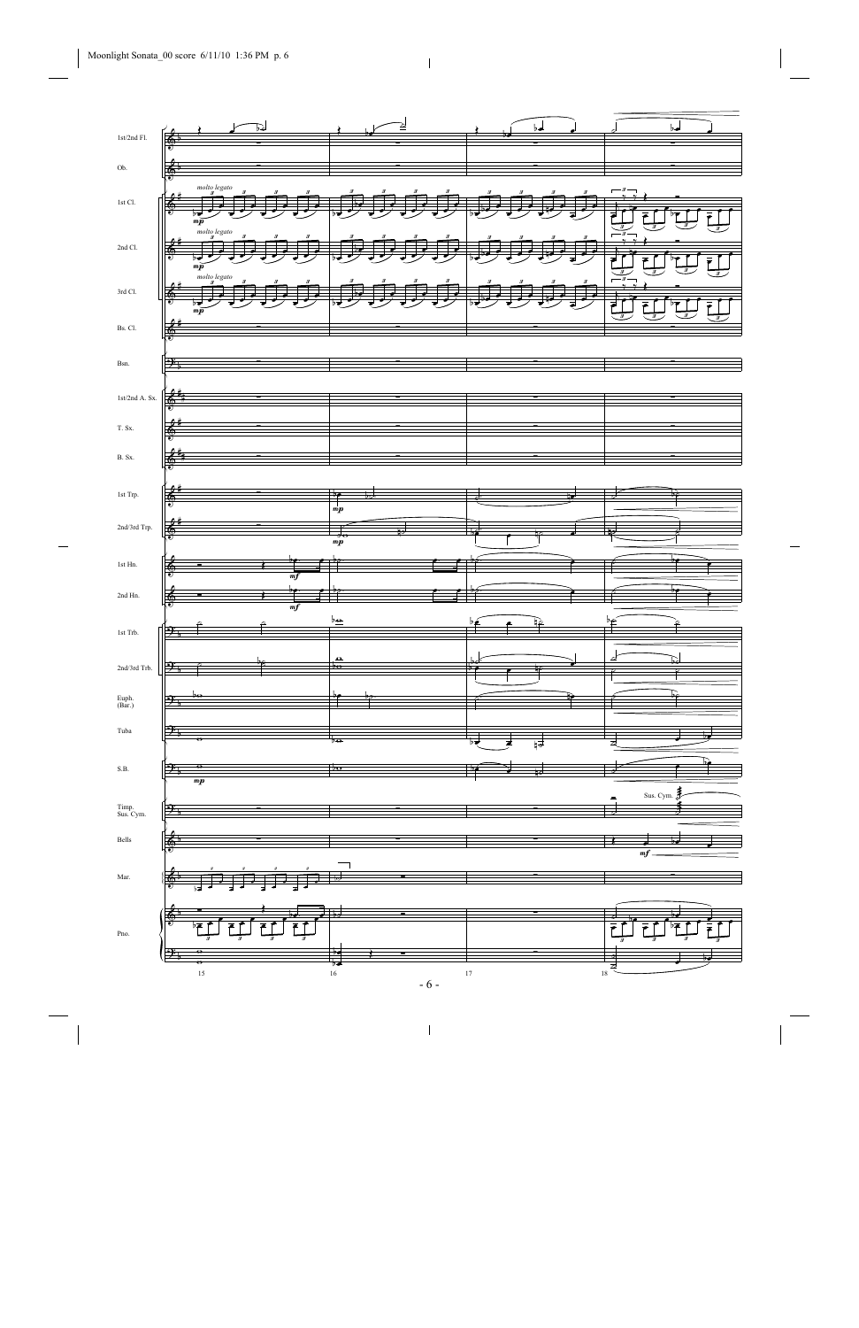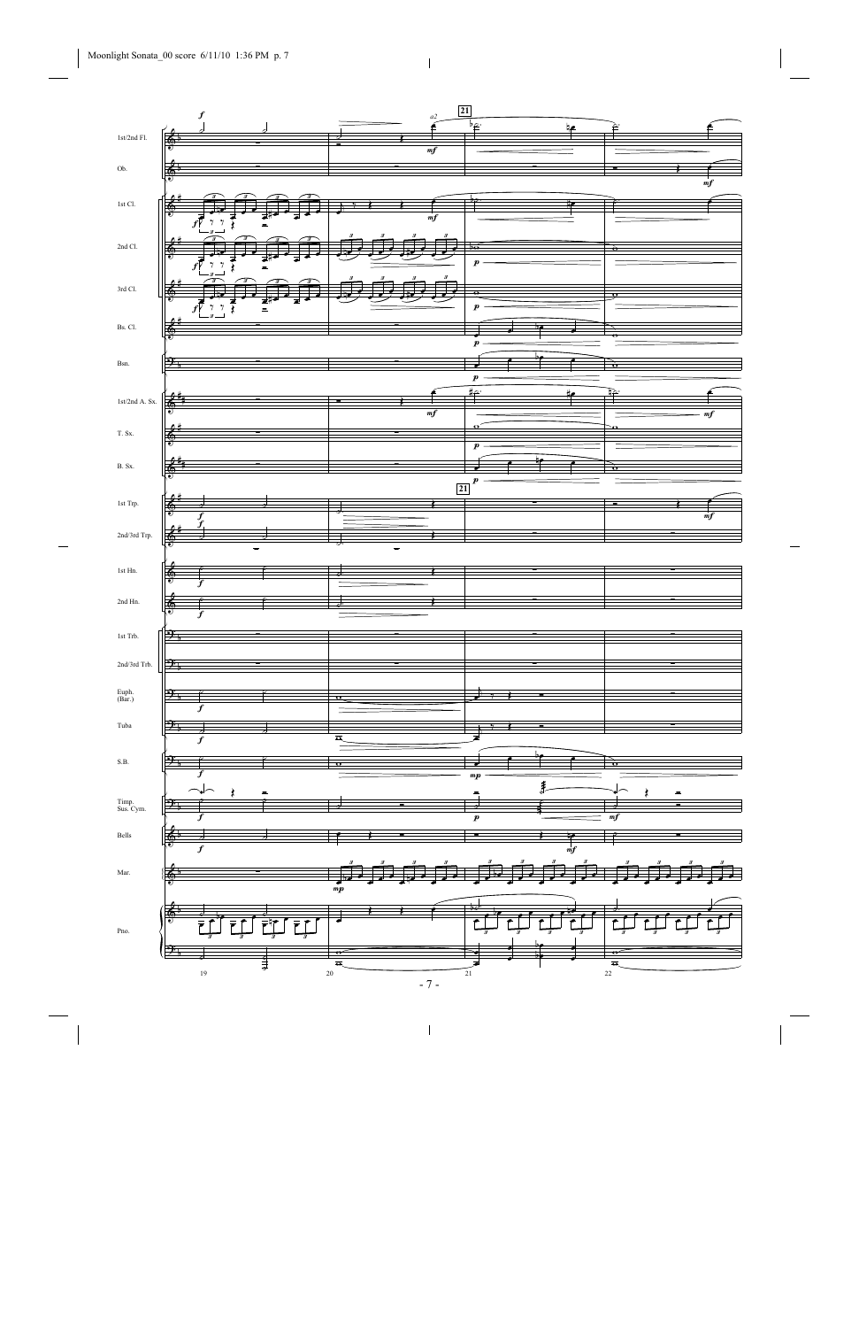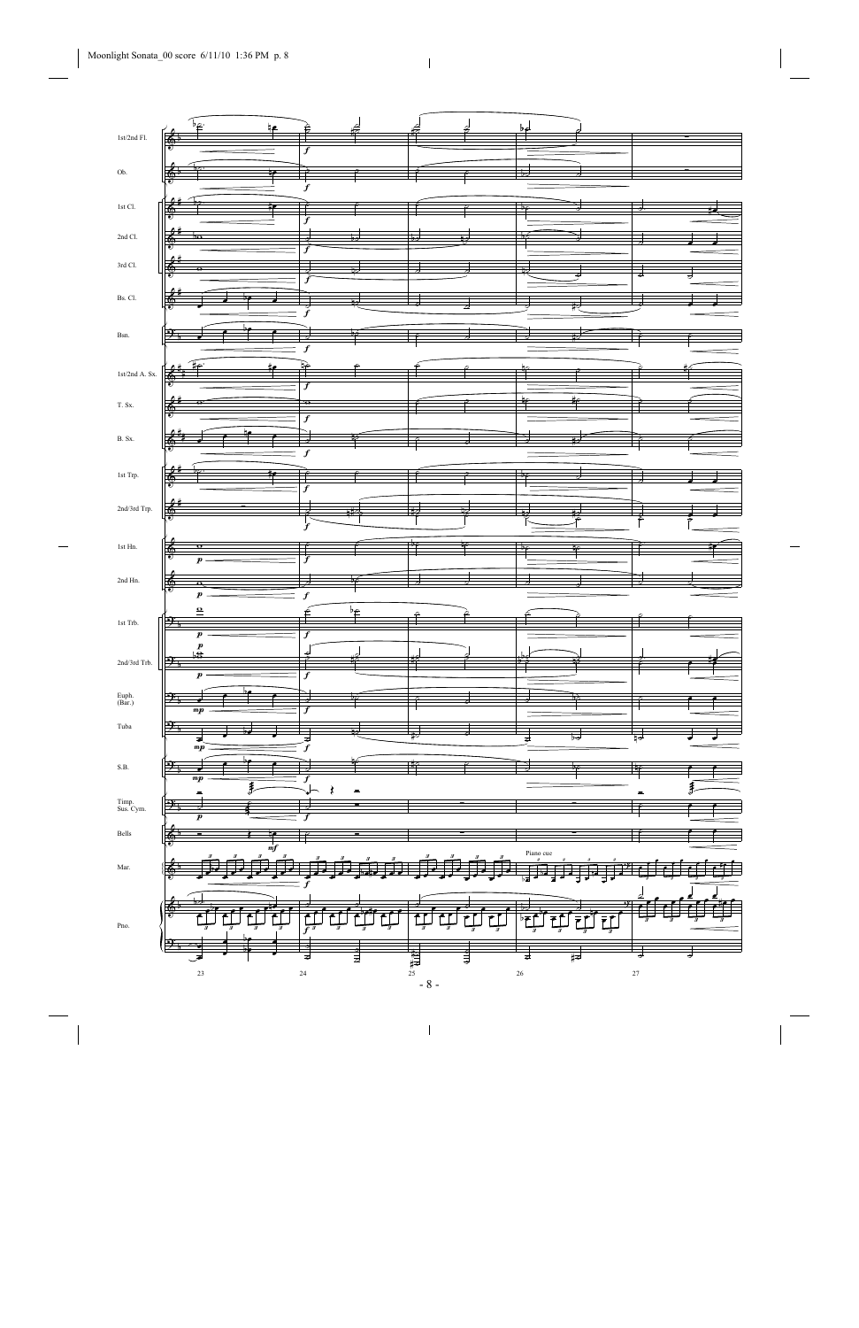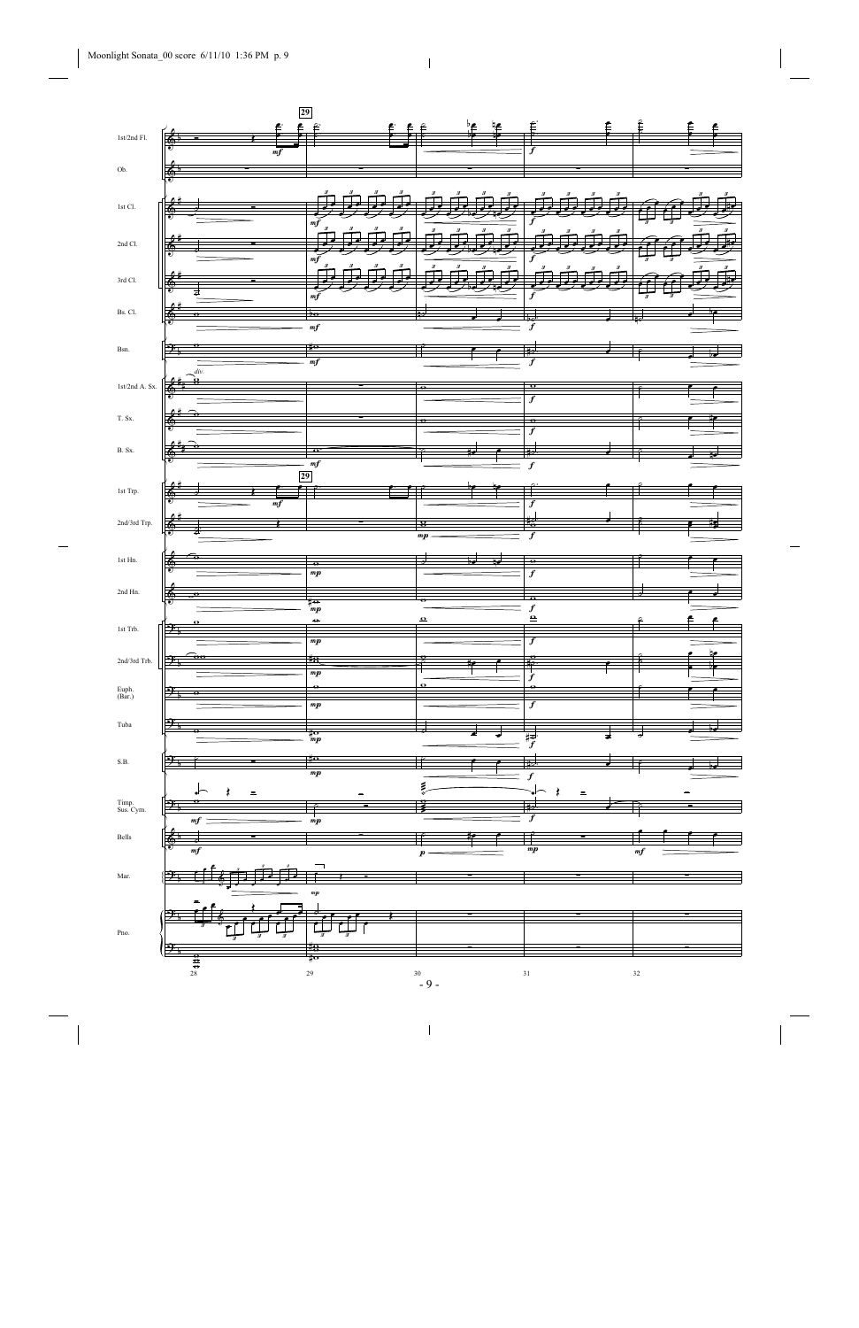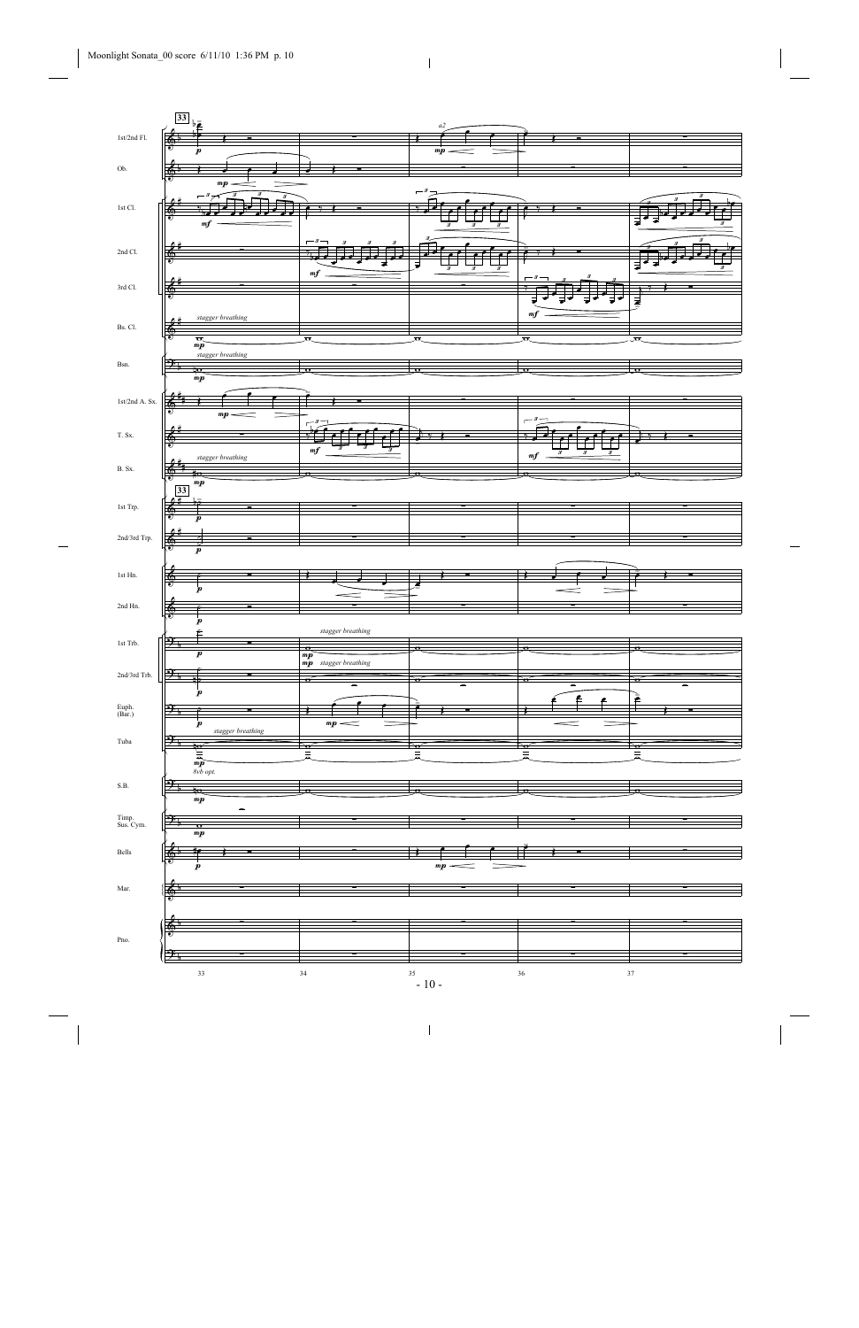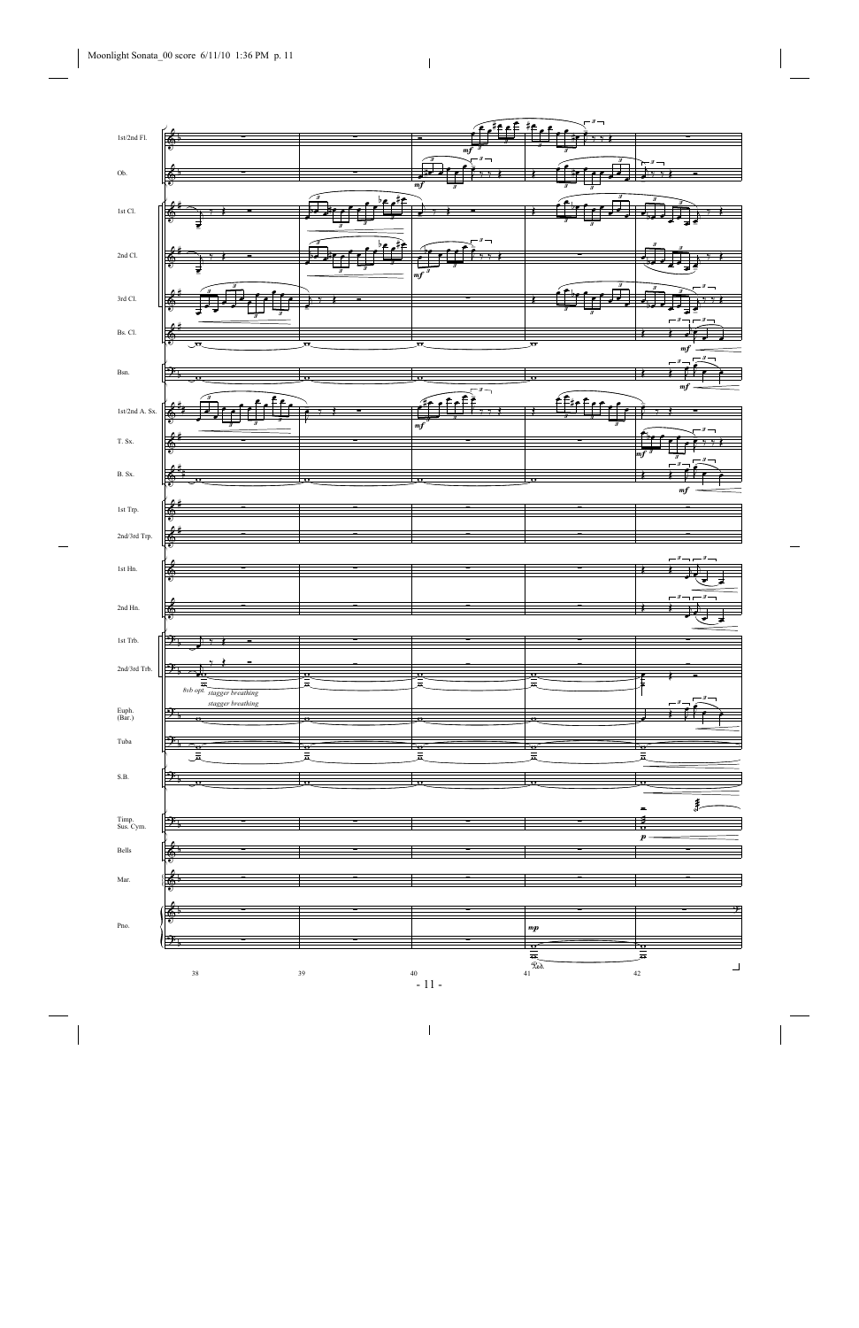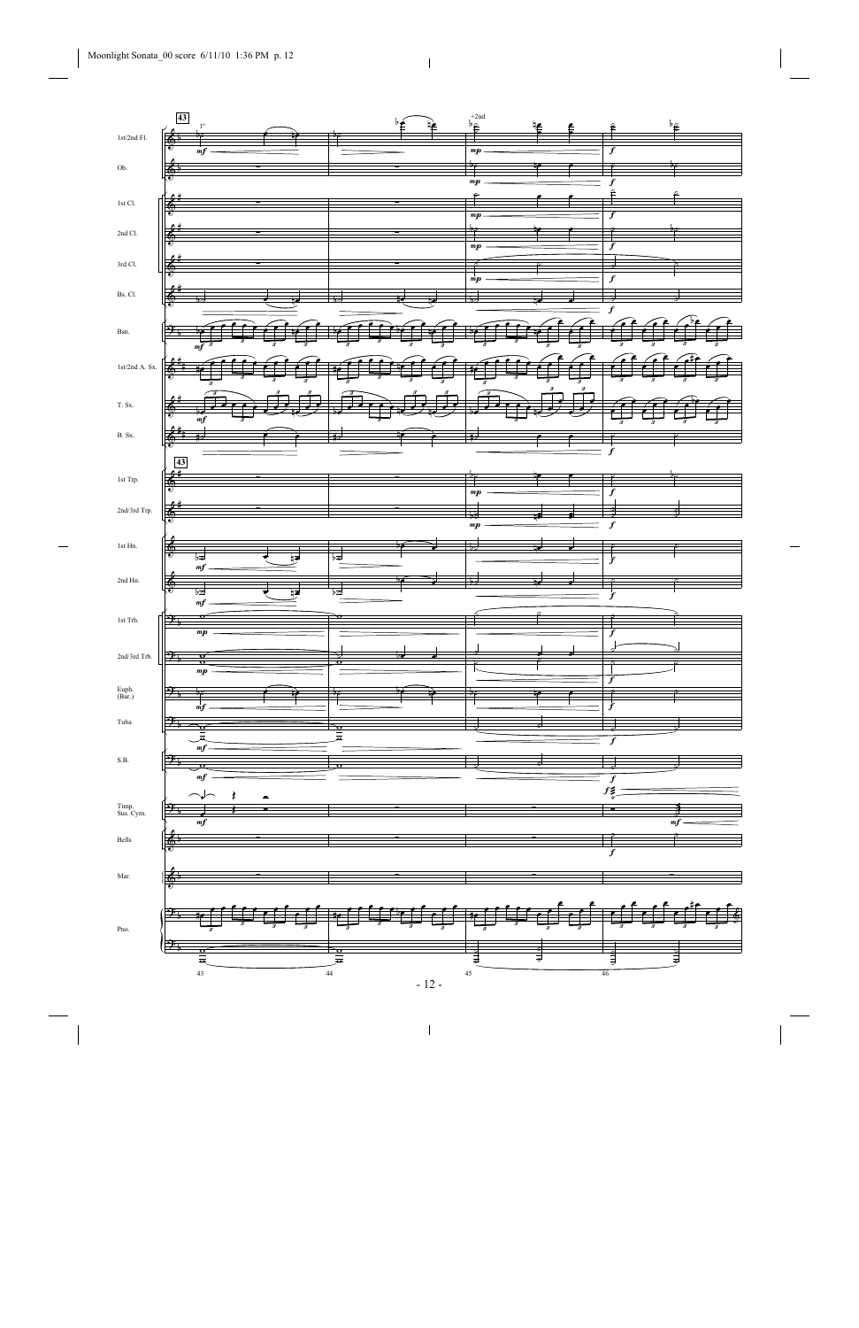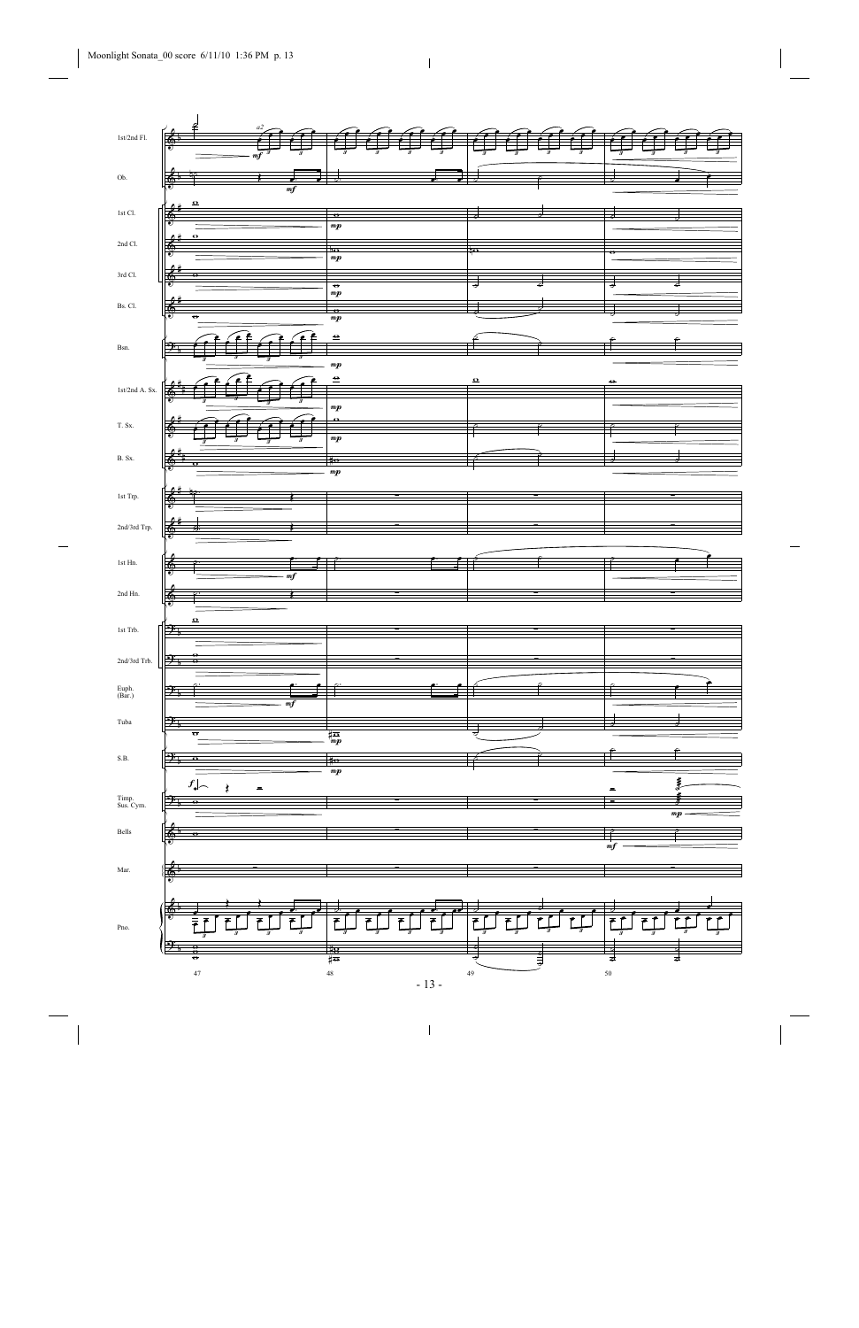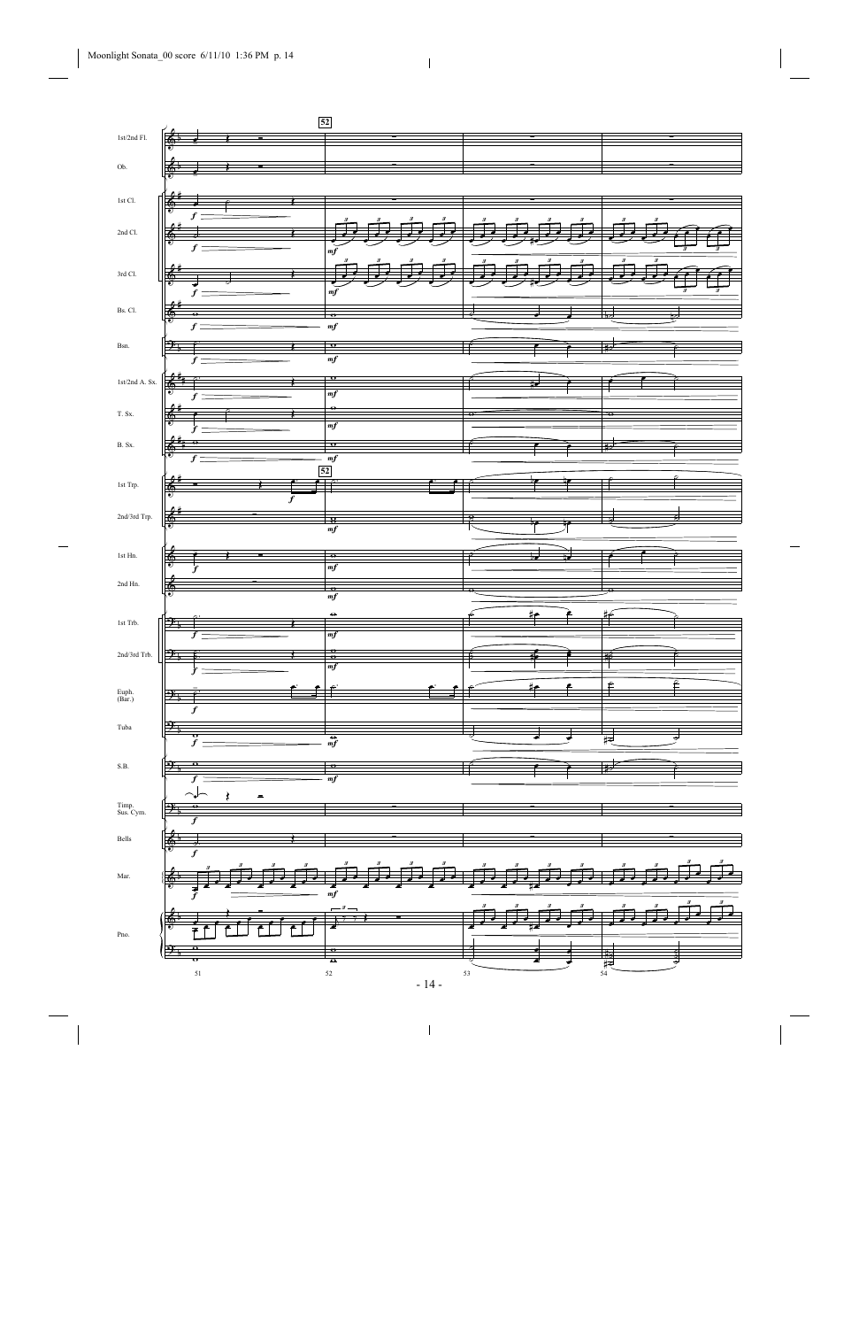

- 14 -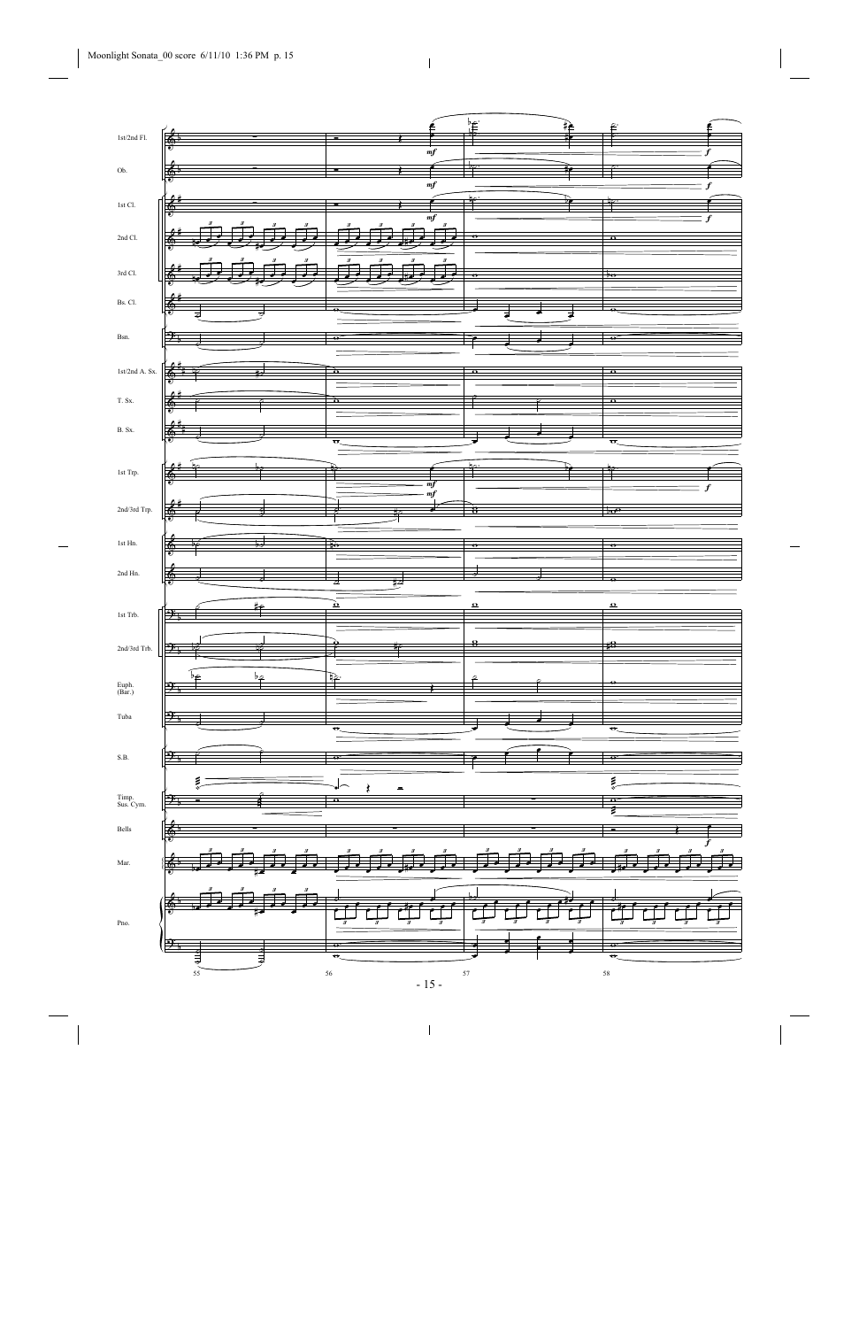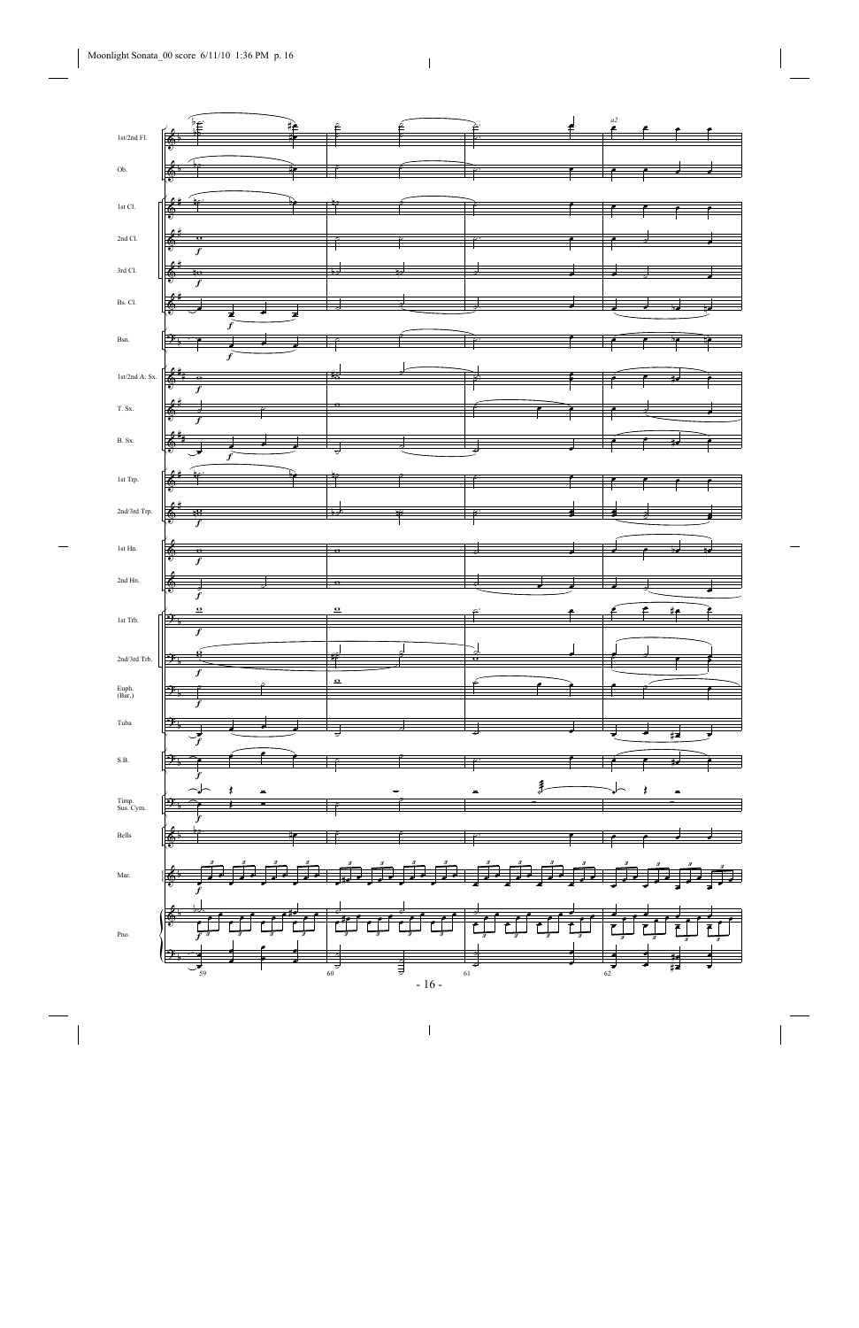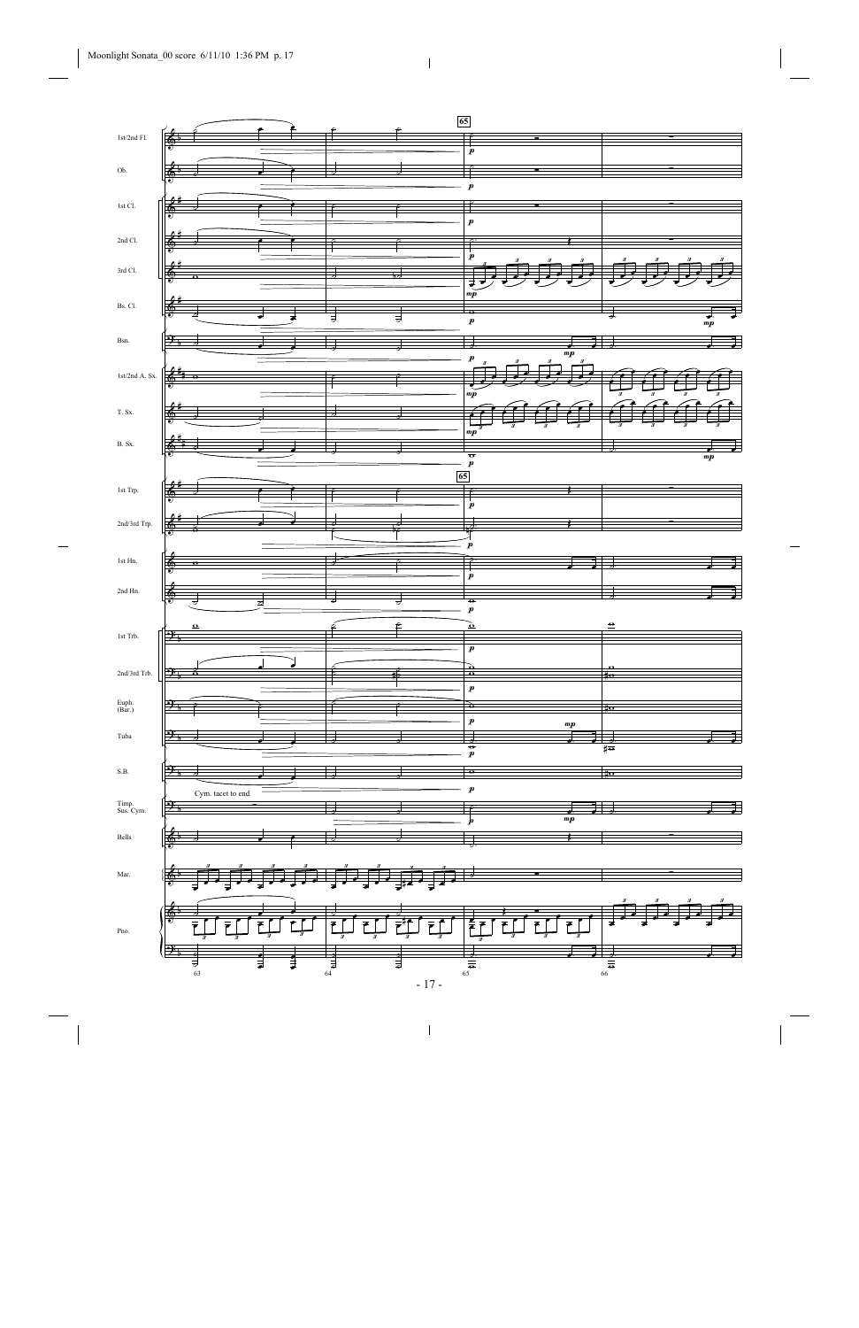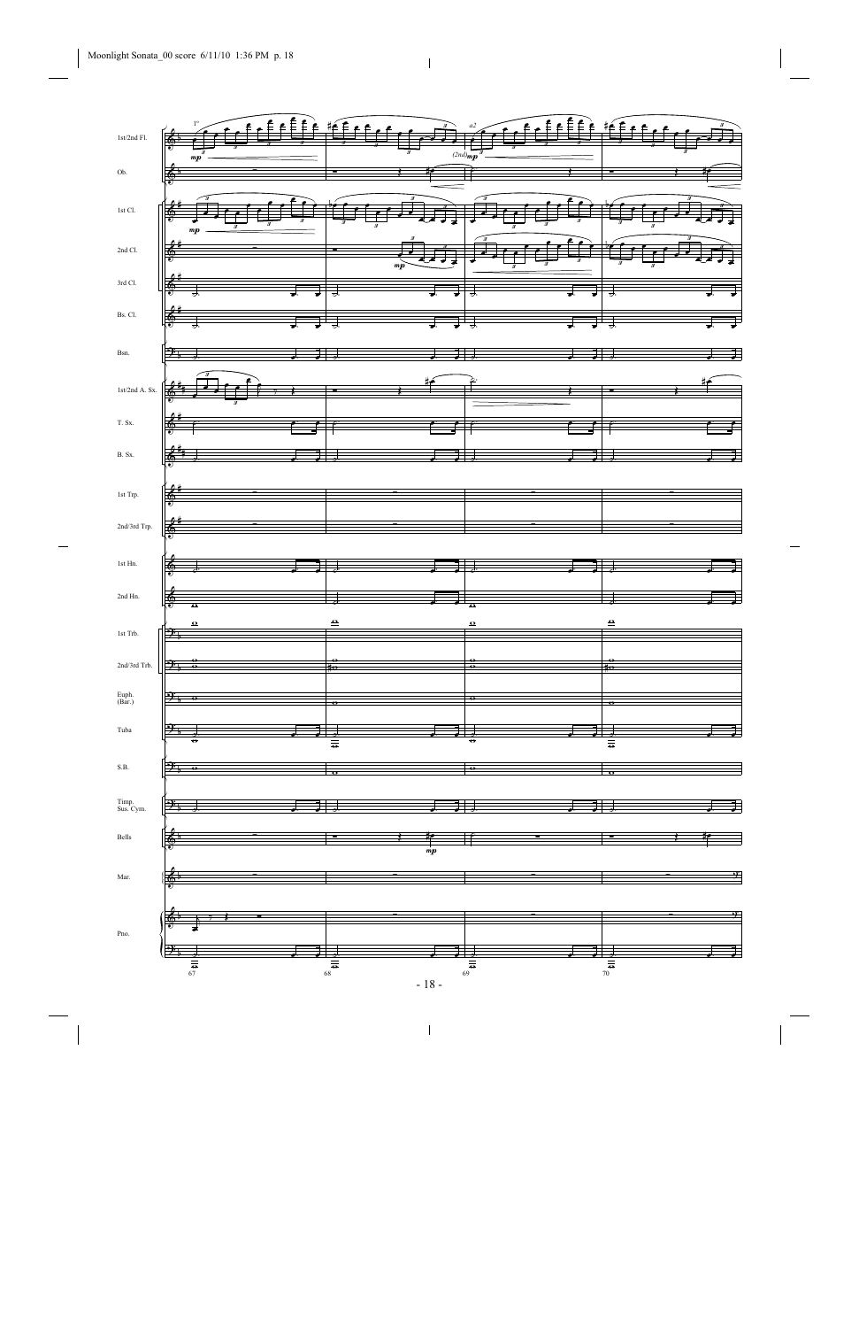